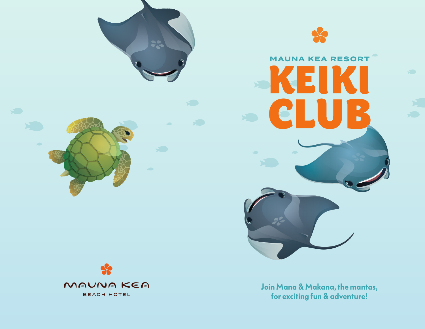

# **MAUNA KEA RESORT** E

**Join Mana & Makana, the mantas, for exciting fun & adventure!**